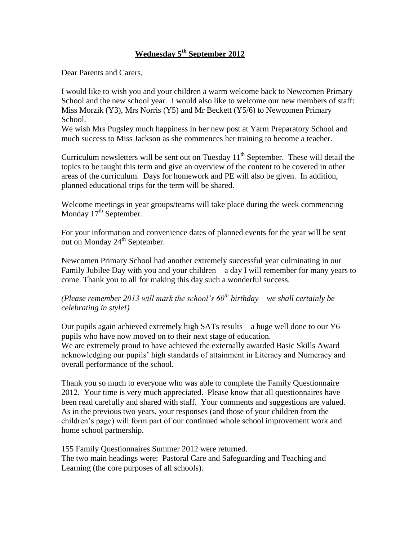# **Wednesday 5th September 2012**

Dear Parents and Carers,

I would like to wish you and your children a warm welcome back to Newcomen Primary School and the new school year. I would also like to welcome our new members of staff: Miss Morzik (Y3), Mrs Norris (Y5) and Mr Beckett (Y5/6) to Newcomen Primary School.

We wish Mrs Pugsley much happiness in her new post at Yarm Preparatory School and much success to Miss Jackson as she commences her training to become a teacher.

Curriculum newsletters will be sent out on Tuesday  $11<sup>th</sup>$  September. These will detail the topics to be taught this term and give an overview of the content to be covered in other areas of the curriculum. Days for homework and PE will also be given. In addition, planned educational trips for the term will be shared.

Welcome meetings in year groups/teams will take place during the week commencing Monday  $17<sup>th</sup>$  September.

For your information and convenience dates of planned events for the year will be sent out on Monday 24<sup>th</sup> September.

Newcomen Primary School had another extremely successful year culminating in our Family Jubilee Day with you and your children – a day I will remember for many years to come. Thank you to all for making this day such a wonderful success.

## *(Please remember 2013 will mark the school's 60th birthday – we shall certainly be celebrating in style!)*

Our pupils again achieved extremely high SATs results – a huge well done to our Y6 pupils who have now moved on to their next stage of education. We are extremely proud to have achieved the externally awarded Basic Skills Award acknowledging our pupils' high standards of attainment in Literacy and Numeracy and overall performance of the school.

Thank you so much to everyone who was able to complete the Family Questionnaire 2012. Your time is very much appreciated. Please know that all questionnaires have been read carefully and shared with staff. Your comments and suggestions are valued. As in the previous two years, your responses (and those of your children from the children's page) will form part of our continued whole school improvement work and home school partnership.

155 Family Questionnaires Summer 2012 were returned. The two main headings were: Pastoral Care and Safeguarding and Teaching and Learning (the core purposes of all schools).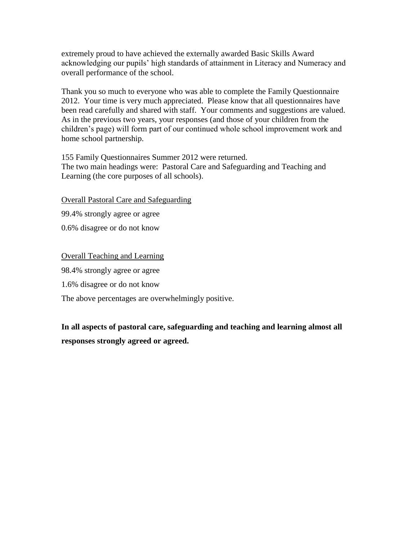extremely proud to have achieved the externally awarded Basic Skills Award acknowledging our pupils' high standards of attainment in Literacy and Numeracy and overall performance of the school.

Thank you so much to everyone who was able to complete the Family Questionnaire 2012. Your time is very much appreciated. Please know that all questionnaires have been read carefully and shared with staff. Your comments and suggestions are valued. As in the previous two years, your responses (and those of your children from the children's page) will form part of our continued whole school improvement work and home school partnership.

155 Family Questionnaires Summer 2012 were returned. The two main headings were: Pastoral Care and Safeguarding and Teaching and Learning (the core purposes of all schools).

Overall Pastoral Care and Safeguarding

99.4% strongly agree or agree

0.6% disagree or do not know

Overall Teaching and Learning

98.4% strongly agree or agree

1.6% disagree or do not know

The above percentages are overwhelmingly positive.

**In all aspects of pastoral care, safeguarding and teaching and learning almost all responses strongly agreed or agreed.**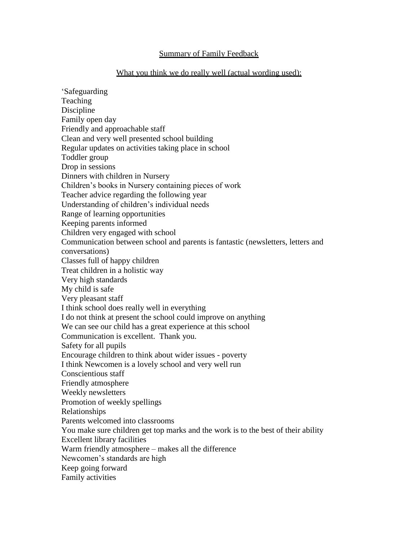#### Summary of Family Feedback

#### What you think we do really well (actual wording used):

'Safeguarding Teaching Discipline Family open day Friendly and approachable staff Clean and very well presented school building Regular updates on activities taking place in school Toddler group Drop in sessions Dinners with children in Nursery Children's books in Nursery containing pieces of work Teacher advice regarding the following year Understanding of children's individual needs Range of learning opportunities Keeping parents informed Children very engaged with school Communication between school and parents is fantastic (newsletters, letters and conversations) Classes full of happy children Treat children in a holistic way Very high standards My child is safe Very pleasant staff I think school does really well in everything I do not think at present the school could improve on anything We can see our child has a great experience at this school Communication is excellent. Thank you. Safety for all pupils Encourage children to think about wider issues - poverty I think Newcomen is a lovely school and very well run Conscientious staff Friendly atmosphere Weekly newsletters Promotion of weekly spellings Relationships Parents welcomed into classrooms You make sure children get top marks and the work is to the best of their ability Excellent library facilities Warm friendly atmosphere – makes all the difference Newcomen's standards are high Keep going forward Family activities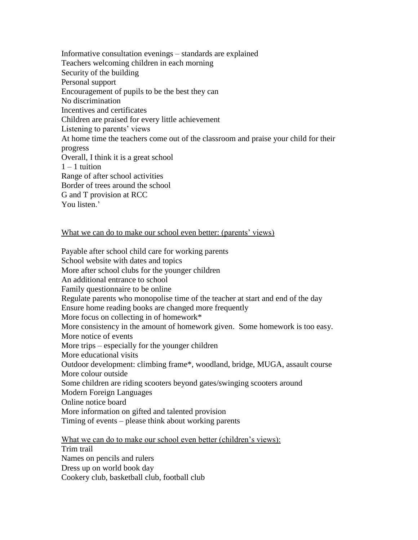Informative consultation evenings – standards are explained Teachers welcoming children in each morning Security of the building Personal support Encouragement of pupils to be the best they can No discrimination Incentives and certificates Children are praised for every little achievement Listening to parents' views At home time the teachers come out of the classroom and praise your child for their progress Overall, I think it is a great school  $1 - 1$  tuition Range of after school activities Border of trees around the school G and T provision at RCC You listen<sup>'</sup>

### What we can do to make our school even better: (parents' views)

Payable after school child care for working parents School website with dates and topics More after school clubs for the younger children An additional entrance to school Family questionnaire to be online Regulate parents who monopolise time of the teacher at start and end of the day Ensure home reading books are changed more frequently More focus on collecting in of homework\* More consistency in the amount of homework given. Some homework is too easy. More notice of events More trips – especially for the younger children More educational visits Outdoor development: climbing frame\*, woodland, bridge, MUGA, assault course More colour outside Some children are riding scooters beyond gates/swinging scooters around Modern Foreign Languages Online notice board More information on gifted and talented provision Timing of events – please think about working parents

What we can do to make our school even better (children's views): Trim trail Names on pencils and rulers Dress up on world book day Cookery club, basketball club, football club